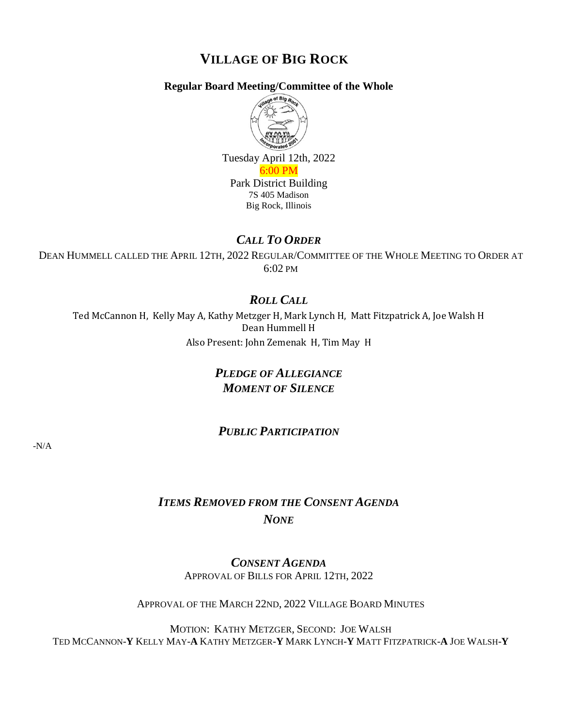# **VILLAGE OF BIG ROCK**

### **Regular Board Meeting/Committee of the Whole**



Tuesday April 12th, 2022 6:00 PM

Park District Building 7S 405 Madison Big Rock, Illinois

### *CALL TO ORDER*

DEAN HUMMELL CALLED THE APRIL 12TH, 2022 REGULAR/COMMITTEE OF THE WHOLE MEETING TO ORDER AT 6:02 PM

## *ROLL CALL*

Ted McCannon H, Kelly May A, Kathy Metzger H, Mark Lynch H, Matt Fitzpatrick A, Joe Walsh H Dean Hummell H Also Present: John Zemenak H, Tim May H

# *PLEDGE OF ALLEGIANCE MOMENT OF SILENCE*

## *PUBLIC PARTICIPATION*

-N/A

# *ITEMS REMOVED FROM THE CONSENT AGENDA NONE*

*CONSENT AGENDA* APPROVAL OF BILLS FOR APRIL 12TH, 2022

APPROVAL OF THE MARCH 22ND, 2022 VILLAGE BOARD MINUTES

MOTION: KATHY METZGER, SECOND: JOE WALSH TED MCCANNON-**Y** KELLY MAY-**A** KATHY METZGER-**Y** MARK LYNCH-**Y** MATT FITZPATRICK-**A** JOE WALSH-**Y**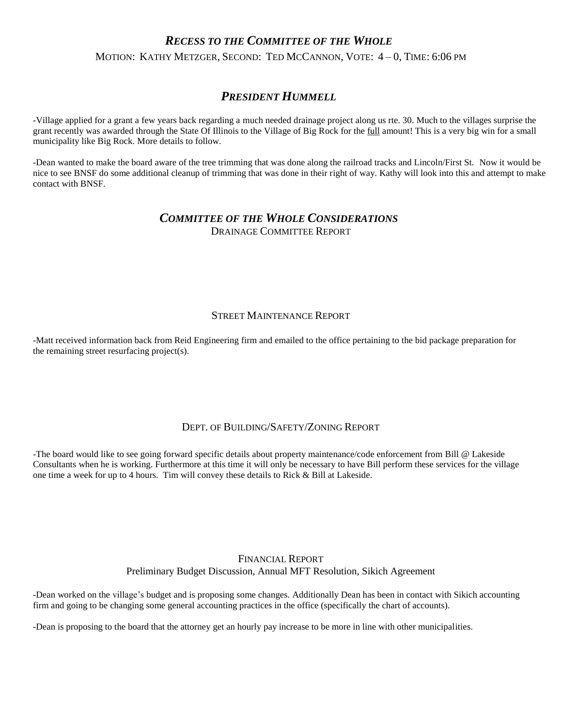### *RECESS TO THE COMMITTEE OF THE WHOLE*

MOTION: KATHY METZGER, SECOND: TED MCCANNON, VOTE: 4 – 0, TIME: 6:06 PM

### *PRESIDENT HUMMELL*

-Village applied for a grant a few years back regarding a much needed drainage project along us rte. 30. Much to the villages surprise the grant recently was awarded through the State Of Illinois to the Village of Big Rock for the <u>full</u> amount! This is a very big win for a small municipality like Big Rock. More details to follow.

-Dean wanted to make the board aware of the tree trimming that was done along the railroad tracks and Lincoln/First St. Now it would be nice to see BNSF do some additional cleanup of trimming that was done in their right of way. Kathy will look into this and attempt to make contact with BNSF.

#### *COMMITTEE OF THE WHOLE CONSIDERATIONS* DRAINAGE COMMITTEE REPORT

#### STREET MAINTENANCE REPORT

-Matt received information back from Reid Engineering firm and emailed to the office pertaining to the bid package preparation for the remaining street resurfacing project(s).

#### DEPT. OF BUILDING/SAFETY/ZONING REPORT

-The board would like to see going forward specific details about property maintenance/code enforcement from Bill @ Lakeside Consultants when he is working. Furthermore at this time it will only be necessary to have Bill perform these services for the village one time a week for up to 4 hours. Tim will convey these details to Rick & Bill at Lakeside.

### FINANCIAL REPORT Preliminary Budget Discussion, Annual MFT Resolution, Sikich Agreement

-Dean worked on the village's budget and is proposing some changes. Additionally Dean has been in contact with Sikich accounting firm and going to be changing some general accounting practices in the office (specifically the chart of accounts).

-Dean is proposing to the board that the attorney get an hourly pay increase to be more in line with other municipalities.